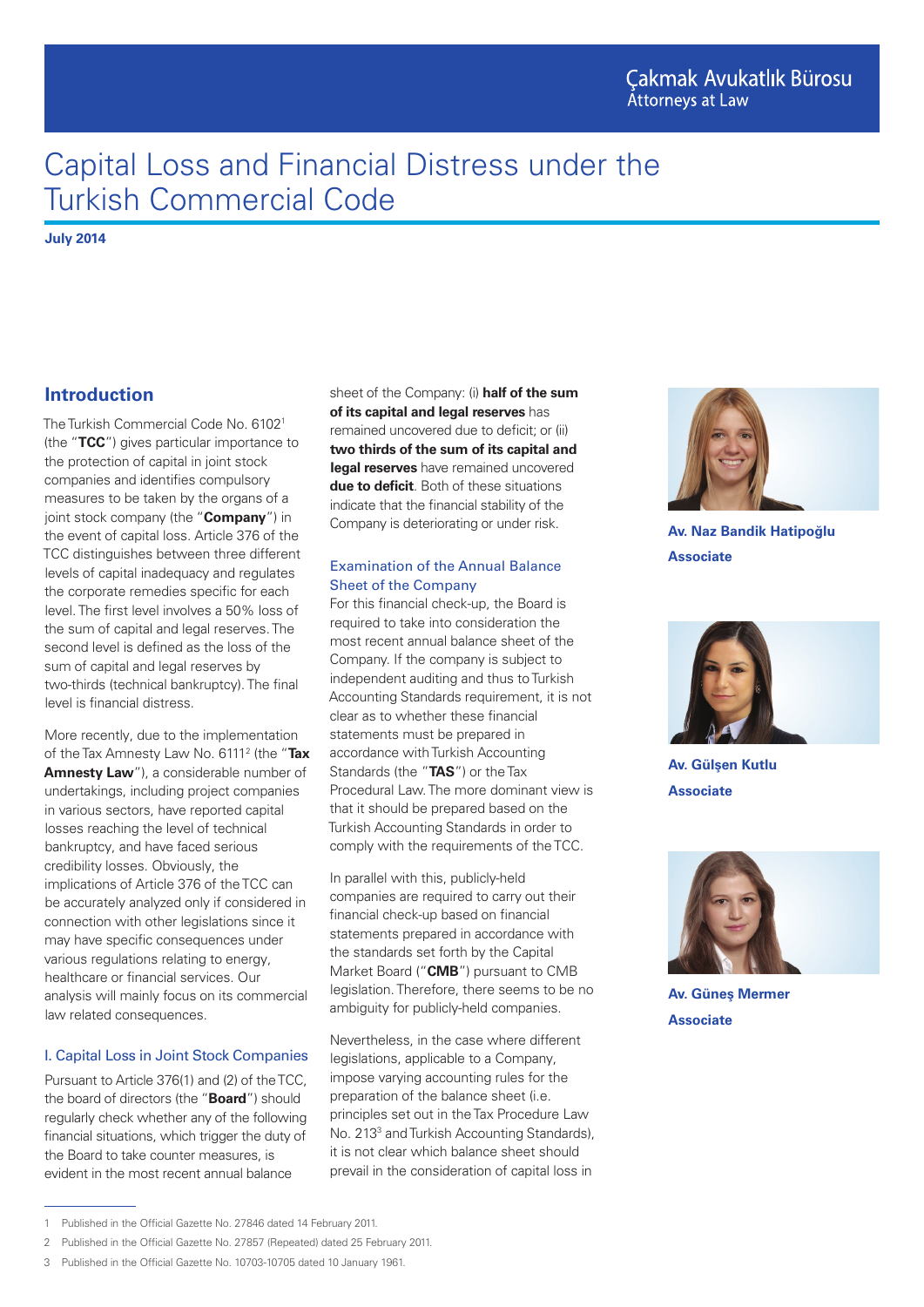# Capital Loss and Financial Distress under the Turkish Commercial Code

**July 2014**

# **Introduction**

The Turkish Commercial Code No. 6102<sup>1</sup> (the "**TCC**") gives particular importance to the protection of capital in joint stock companies and identifies compulsory measures to be taken by the organs of a joint stock company (the "**Company**") in the event of capital loss. Article 376 of the TCC distinguishes between three different levels of capital inadequacy and regulates the corporate remedies specific for each level. The first level involves a 50% loss of the sum of capital and legal reserves. The second level is defined as the loss of the sum of capital and legal reserves by two-thirds (technical bankruptcy). The final level is financial distress.

More recently, due to the implementation of the Tax Amnesty Law No. 61112 (the "**Tax Amnesty Law**"), a considerable number of undertakings, including project companies in various sectors, have reported capital losses reaching the level of technical bankruptcy, and have faced serious credibility losses. Obviously, the implications of Article 376 of the TCC can be accurately analyzed only if considered in connection with other legislations since it may have specific consequences under various regulations relating to energy, healthcare or financial services. Our analysis will mainly focus on its commercial law related consequences.

## I. Capital Loss in Joint Stock Companies

Pursuant to Article 376(1) and (2) of the TCC, the board of directors (the "**Board**") should regularly check whether any of the following financial situations, which trigger the duty of the Board to take counter measures, is evident in the most recent annual balance

sheet of the Company: (i) **half of the sum of its capital and legal reserves** has remained uncovered due to deficit; or (ii) **two thirds of the sum of its capital and legal reserves** have remained uncovered **due to deficit**. Both of these situations indicate that the financial stability of the Company is deteriorating or under risk.

#### Examination of the Annual Balance Sheet of the Company

For this financial check-up, the Board is required to take into consideration the most recent annual balance sheet of the Company. If the company is subject to independent auditing and thus to Turkish Accounting Standards requirement, it is not clear as to whether these financial statements must be prepared in accordance with Turkish Accounting Standards (the "**TAS**") or the Tax Procedural Law. The more dominant view is that it should be prepared based on the Turkish Accounting Standards in order to comply with the requirements of the TCC.

In parallel with this, publicly-held companies are required to carry out their financial check-up based on financial statements prepared in accordance with the standards set forth by the Capital Market Board ("**CMB**") pursuant to CMB legislation. Therefore, there seems to be no ambiguity for publicly-held companies.

Nevertheless, in the case where different legislations, applicable to a Company, impose varying accounting rules for the preparation of the balance sheet (i.e. principles set out in the Tax Procedure Law No. 213<sup>3</sup> and Turkish Accounting Standards), it is not clear which balance sheet should prevail in the consideration of capital loss in



**Av. Naz Bandik Hatipoğlu Associate**



**Av. Gülşen Kutlu Associate**



**Av. Güneş Mermer Associate**

<sup>1</sup> Published in the Official Gazette No. 27846 dated 14 February 2011.

<sup>2</sup> Published in the Official Gazette No. 27857 (Repeated) dated 25 February 2011.

<sup>3</sup> Published in the Official Gazette No. 10703-10705 dated 10 January 1961.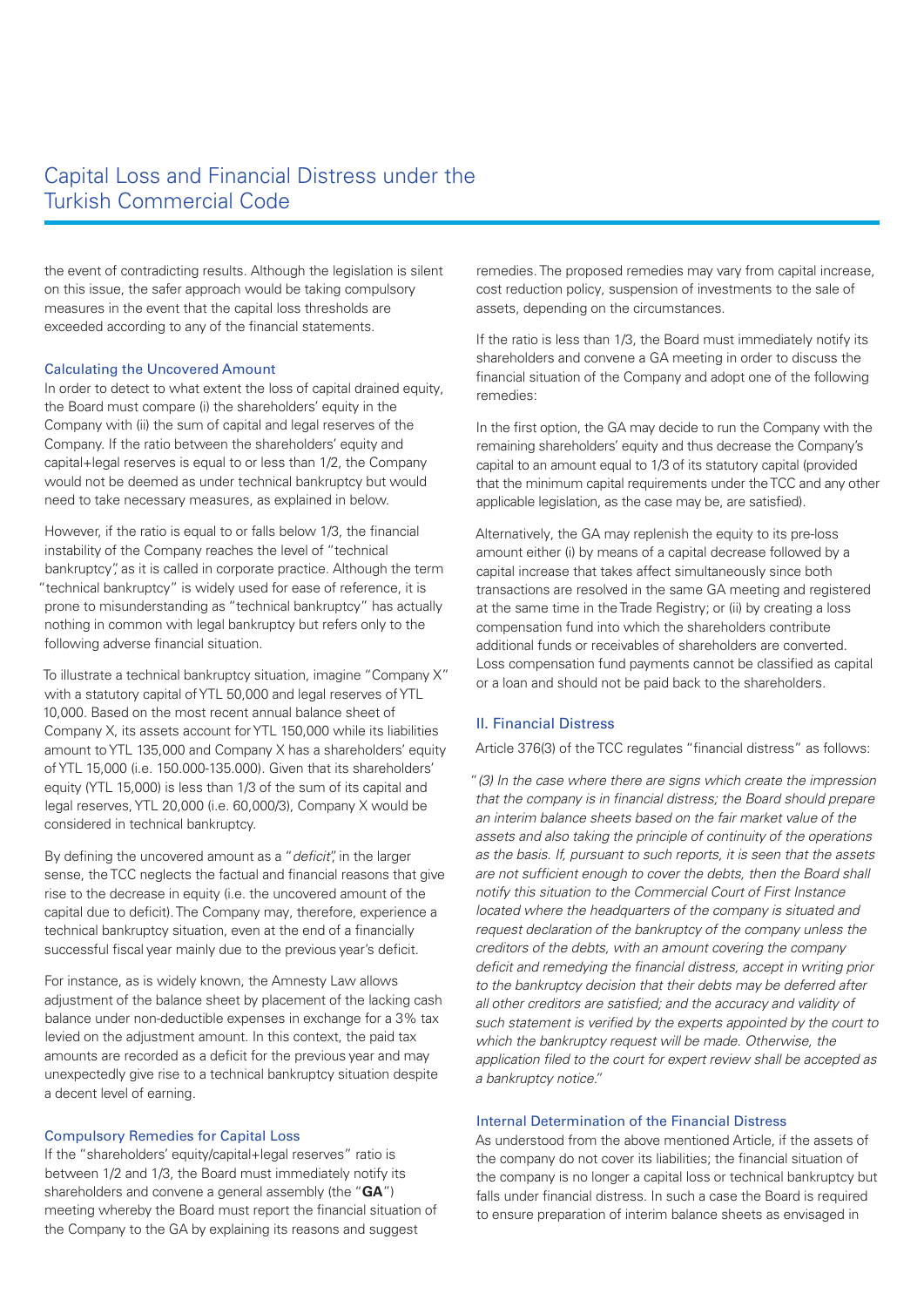# Capital Loss and Financial Distress under the Turkish Commercial Code

the event of contradicting results. Although the legislation is silent on this issue, the safer approach would be taking compulsory measures in the event that the capital loss thresholds are exceeded according to any of the financial statements.

#### Calculating the Uncovered Amount

In order to detect to what extent the loss of capital drained equity, the Board must compare (i) the shareholders' equity in the Company with (ii) the sum of capital and legal reserves of the Company. If the ratio between the shareholders' equity and capital+legal reserves is equal to or less than 1/2, the Company would not be deemed as under technical bankruptcy but would need to take necessary measures, as explained in below.

However, if the ratio is equal to or falls below 1/3, the financial instability of the Company reaches the level of "technical bankruptcy", as it is called in corporate practice. Although the term "technical bankruptcy" is widely used for ease of reference, it is prone to misunderstanding as "technical bankruptcy" has actually nothing in common with legal bankruptcy but refers only to the following adverse financial situation.

To illustrate a technical bankruptcy situation, imagine "Company X" with a statutory capital of YTL 50,000 and legal reserves of YTL 10,000. Based on the most recent annual balance sheet of Company X, its assets account for YTL 150,000 while its liabilities amount to YTL 135,000 and Company X has a shareholders' equity of YTL 15,000 (i.e. 150.000-135.000). Given that its shareholders' equity (YTL 15,000) is less than 1/3 of the sum of its capital and legal reserves, YTL 20,000 (i.e. 60,000/3), Company X would be considered in technical bankruptcy.

By defining the uncovered amount as a "*deficit*", in the larger sense, the TCC neglects the factual and financial reasons that give rise to the decrease in equity (i.e. the uncovered amount of the capital due to deficit). The Company may, therefore, experience a technical bankruptcy situation, even at the end of a financially successful fiscal year mainly due to the previous year's deficit.

For instance, as is widely known, the Amnesty Law allows adjustment of the balance sheet by placement of the lacking cash balance under non-deductible expenses in exchange for a 3% tax levied on the adjustment amount. In this context, the paid tax amounts are recorded as a deficit for the previous year and may unexpectedly give rise to a technical bankruptcy situation despite a decent level of earning.

#### Compulsory Remedies for Capital Loss

If the "shareholders' equity/capital+legal reserves" ratio is between 1/2 and 1/3, the Board must immediately notify its shareholders and convene a general assembly (the "**GA**") meeting whereby the Board must report the financial situation of the Company to the GA by explaining its reasons and suggest

remedies. The proposed remedies may vary from capital increase, cost reduction policy, suspension of investments to the sale of assets, depending on the circumstances.

If the ratio is less than 1/3, the Board must immediately notify its shareholders and convene a GA meeting in order to discuss the financial situation of the Company and adopt one of the following remedies:

In the first option, the GA may decide to run the Company with the remaining shareholders' equity and thus decrease the Company's capital to an amount equal to 1/3 of its statutory capital (provided that the minimum capital requirements under the TCC and any other applicable legislation, as the case may be, are satisfied).

Alternatively, the GA may replenish the equity to its pre-loss amount either (i) by means of a capital decrease followed by a capital increase that takes affect simultaneously since both transactions are resolved in the same GA meeting and registered at the same time in the Trade Registry; or (ii) by creating a loss compensation fund into which the shareholders contribute additional funds or receivables of shareholders are converted. Loss compensation fund payments cannot be classified as capital or a loan and should not be paid back to the shareholders.

#### II. Financial Distress

Article 376(3) of the TCC regulates "financial distress" as follows:

"*(3) In the case where there are signs which create the impression that the company is in financial distress; the Board should prepare an interim balance sheets based on the fair market value of the assets and also taking the principle of continuity of the operations as the basis. If, pursuant to such reports, it is seen that the assets are not sufficient enough to cover the debts, then the Board shall notify this situation to the Commercial Court of First Instance located where the headquarters of the company is situated and request declaration of the bankruptcy of the company unless the creditors of the debts, with an amount covering the company deficit and remedying the financial distress, accept in writing prior to the bankruptcy decision that their debts may be deferred after all other creditors are satisfied; and the accuracy and validity of such statement is verified by the experts appointed by the court to which the bankruptcy request will be made. Otherwise, the application filed to the court for expert review shall be accepted as a bankruptcy notice."*

#### Internal Determination of the Financial Distress

As understood from the above mentioned Article, if the assets of the company do not cover its liabilities; the financial situation of the company is no longer a capital loss or technical bankruptcy but falls under financial distress. In such a case the Board is required to ensure preparation of interim balance sheets as envisaged in